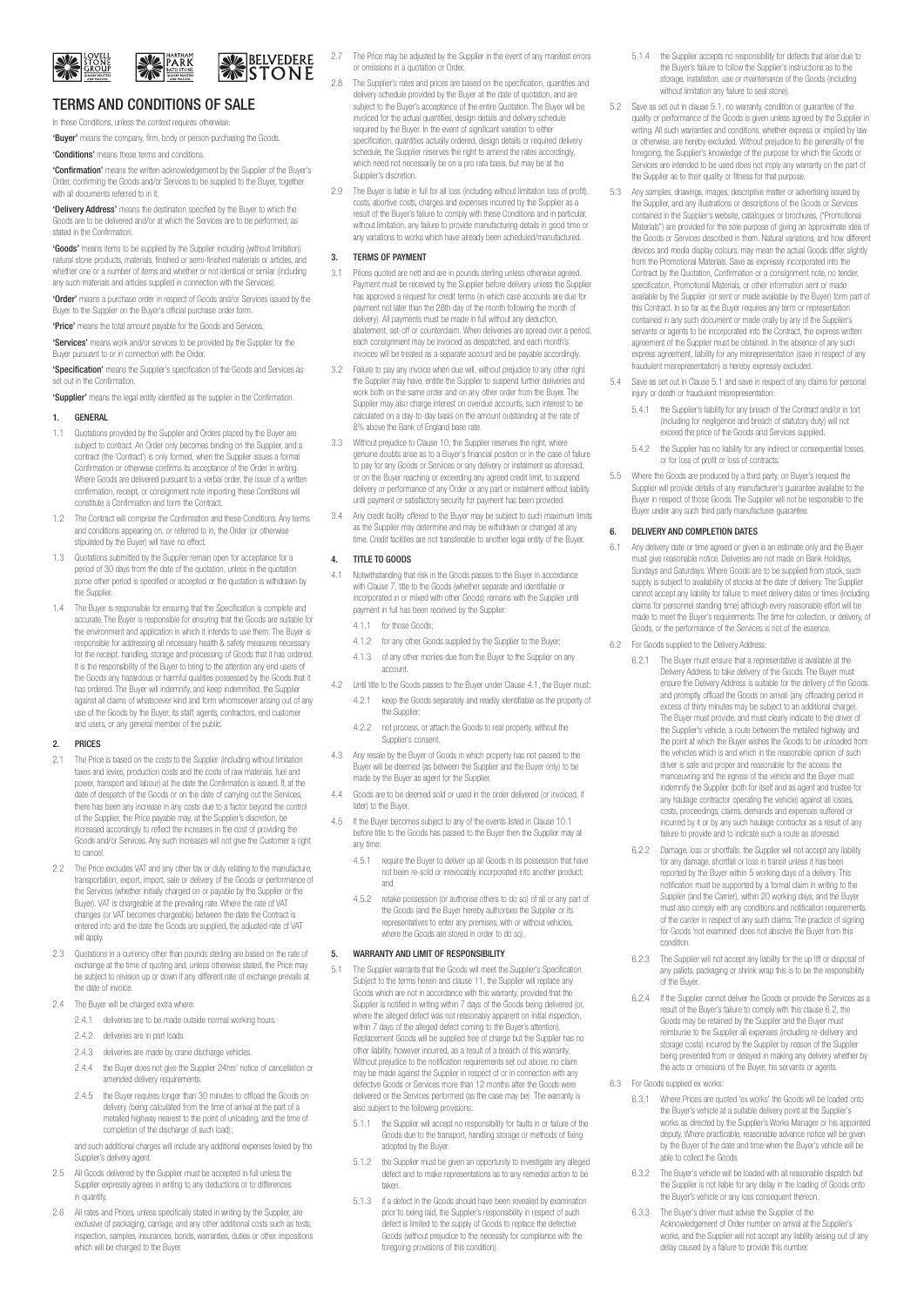

# **SELVEDERE AVE PARK**

## TERMS AND CONDITIONS OF SALE In these Conditions, unless the context requires otherwise

'Buyer' means the company, firm, body or person purchasing the Goods. 'Conditions' means these terms and conditions.

'Confirmation' means the written acknowledgement by the Supplier of the Buyer's Order, confirming the Goods and/or Services to be supplied to the Buyer, together with all documents referred to in it.

'Delivery Address' means the destination specified by the Buyer to which the Goods are to be delivered and/or at which the Services are to be performed, as stated in the Confirmation.

'Goods' means items to be supplied by the Supplier including (without limitation) natural stone products, materials, finished or semi-finished materials or articles, and whether one or a number of items and whether or not identical or similar (including any such materials and articles supplied in connection with the Services).

'Order' means a purchase order in respect of Goods and/or Services issued by the Buyer to the Supplier on the Buyer's official purchase order form.

'Price' means the total amount payable for the Goods and Services. 'Services' means work and/or services to be provided by the Supplier for the

Buyer pursuant to or in connection with the Order. 'Specification' means the Supplier's specification of the Goods and Services as set out in the Confirmation.

'Supplier' means the legal entity identified as the supplier in the Confirmation.

#### **GENERAL**

- 1.1 Quotations provided by the Supplier and Orders placed by the Buyer are subject to contract. An Order only becomes binding on the Supplier, and a contract (the 'Contract') is only formed, when the Supplier issues a formal Confirmation or otherwise confirms its acceptance of the Order in writing. Where Goods are delivered pursuant to a verbal order, the issue of a written confirmation, receipt, or consignment note importing these Conditions will constitute a Confirmation and form the Contract.
- 1.2 The Contract will comprise the Confirmation and these Conditions. Any terms and conditions appearing on, or referred to in, the Order (or otherwise stipulated by the Buyer) will have no effect.
- 1.3 Quotations submitted by the Supplier remain open for acceptance for a period of 30 days from the date of the quotation, unless in the quotation some other period is specified or accepted or the quotation is withdrawn by the Supplier
- 1.4 The Buyer is responsible for ensuring that the Specification is complete and accurate. The Buyer is responsible for ensuring that the Goods are suitable for the environment and application in which it intends to use them. The Buyer is responsible for addressing all necessary health & safety measures necessary for the receipt, handling, storage and processing of Goods that it has ordered. It is the responsibility of the Buyer to bring to the attention any end users of the Goods any hazardous or harmful qualities possessed by the Goods that it has ordered. The Buyer will indemnify, and keep indemnified, the Supplier against all claims of whatsoever kind and form whomsoever arising out of any use of the Goods by the Buyer, its staff, agents, contractors, end customer and users, or any general member of the public.

#### 2. PRICES

- 2.1 The Price is based on the costs to the Supplier (including without limitation taxes and levies, production costs and the costs of raw materials, fuel and power, transport and labour) at the date the Confirmation is issued. If, at the date of despatch of the Goods or on the date of carrying out the Services, there has been any increase in any costs due to a factor beyond the control of the Supplier, the Price payable may, at the Supplier's discretion, be increased accordingly to reflect the increases in the cost of providing the Goods and/or Services. Any such increases will not give the Customer a right to cancel.
- 2.2 The Price excludes VAT and any other tax or duty relating to the manufacture transportation, export, import, sale or delivery of the Goods or performance of the Services (whether initially charged on or payable by the Supplier or the Buyer). VAT is chargeable at the prevailing rate. Where the rate of VAT changes (or VAT becomes chargeable) between the date the Contract is entered into and the date the Goods are supplied, the adjusted rate of VAT will apply.
- 2.3 Quotations in a currency other than pounds sterling are based on the rate of exchange at the time of quoting and, unless otherwise stated, the Price may be subject to revision up or down if any different rate of exchange prevails at the date of invoice.
- 2.4 The Buver will be charged extra where:
	- 2.4.1 deliveries are to be made outside normal working hours.
	- 2.4.2 deliveries are in part loads.
	- 2.4.3 deliveries are made by crane discharge vehicles.
	- 2.4.4 the Buyer does not give the Supplier 24hrs' notice of cancellation or amended delivery requirements.
	- 2.4.5 the Buyer requires longer than 30 minutes to offload the Goods on delivery (being calculated from the time of arrival at the part of a metalled highway nearest to the point of unloading, and the time of completion of the discharge of such load);

and such additional charges will include any additional expenses levied by the Supplier's delivery agent.

- 2.5 All Goods delivered by the Supplier must be accepted in full unless the Supplier expressly agrees in writing to any deductions or to differences in quantity.
- 2.6 All rates and Prices, unless specifically stated in writing by the Supplier, are exclusive of packaging, carriage, and any other additional costs such as tests, inspection, samples, insurances, bonds, warranties, duties or other impositions which will be charged to the Buyer.
- 2.7 The Price may be adjusted by the Supplier in the event of any manifest errors or omissions in a quotation or Order.
- The Supplier's rates and prices are based on the specification, quantities and delivery schedule provided by the Buyer at the date of quotation, and are subject to the Buyer's acceptance of the entire Quotation. The Buyer will be invoiced for the actual quantities, design details and delivery schedule required by the Buyer. In the event of significant variation to either specification, quantities actually ordered, design details or required delivery schedule, the Supplier reserves the right to amend the rates accordingly, which need not necessarily be on a pro rata basis, but may be at the Supplier's discretion.
- 2.9 The Buyer is liable in full for all loss (including without limitation loss of profit), costs, abortive costs, charges and expenses incurred by the Supplier as a result of the Buyer's failure to comply with these Conditions and in particular, without limitation, any failure to provide manufacturing details in good time or any variations to works which have already been scheduled/manufactured.

#### 3. TERMS OF PAYMENT

- 3.1 Prices quoted are nett and are in pounds sterling unless otherwise agreed. Payment must be received by the Supplier before delivery unless the Supplier has approved a request for credit terms (in which case accounts are due for payment not later than the 28th day of the month following the month of delivery). All payments must be made in full without any deduction, abatement, set-off or counterclaim. When deliveries are spread over a period, each consignment may be invoiced as despatched, and each month's invoices will be treated as a separate account and be payable accordingly.
- Failure to pay any invoice when due will, without prejudice to any other right the Supplier may have, entitle the Supplier to suspend further deliveries and work both on the same order and on any other order from the Buyer. The Supplier may also charge interest on overdue accounts, such interest to be calculated on a day-to-day basis on the amount outstanding at the rate of 8% above the Bank of England base rate.
- 3.3 Without prejudice to Clause 10, the Supplier reserves the right, where genuine doubts arise as to a Buyer's financial position or in the case of failure to pay for any Goods or Services or any delivery or instalment as aforesaid, or on the Buyer reaching or exceeding any agreed credit limit, to suspend delivery or performance of any Order or any part or instalment without liability until payment or satisfactory security for payment has been provided.
- 3.4 Any credit facility offered to the Buyer may be subject to such maximum limits as the Supplier may determine and may be withdrawn or changed at any time. Credit facilities are not transferable to another legal entity of the Buyer.

#### 4. TITLE TO GOODS

- 4.1 Notwithstanding that risk in the Goods passes to the Buyer in accordance with Clause 7, title to the Goods (whether separate and identifiable or incorporated in or mixed with other Goods) remains with the Supplier until payment in full has been received by the Supplier:
	- 4.1.1 for those Goods;
	- 4.1.2 for any other Goods supplied by the Supplier to the Buyer;
	- 4.1.3 of any other monies due from the Buyer to the Supplier on any account.
- 4.2 Until title to the Goods passes to the Buyer under Clause 4.1, the Buyer must: 4.2.1 keep the Goods separately and readily identifiable as the property of the Supplier:
	- 4.2.2 not process, or attach the Goods to real property, without the Supplier's consent.
- 4.3 Any resale by the Buyer of Goods in which property has not passed to the Buyer will be deemed (as between the Supplier and the Buyer only) to be made by the Buyer as agent for the Supplier.
- 4.4 Goods are to be deemed sold or used in the order delivered (or invoiced, if later) to the Buyer.
- 4.5 If the Buyer becomes subject to any of the events listed in Clause 10.1 before title to the Goods has passed to the Buyer then the Supplier may at any time:
	- 4.5.1 require the Buyer to deliver up all Goods in its possession that have not been re-sold or irrevocably incorporated into another product; and
	- 4.5.2 retake possession (or authorise others to do so) of all or any part of the Goods (and the Buyer hereby authorises the Supplier or its representatives to enter any premises, with or without vehicles, where the Goods are stored in order to do so).

#### 5. WARRANTY AND LIMIT OF RESPONSIBILITY

- 5.1 The Supplier warrants that the Goods will meet the Supplier's Specification. Subject to the terms herein and clause 11, the Supplier will replace any Goods which are not in accordance with this warranty, provided that the Supplier is notified in writing within 7 days of the Goods being delivered (or, where the alleged defect was not reasonably apparent on initial inspection, within 7 days of the alleged defect coming to the Buyer's attention). Replacement Goods will be supplied free of charge but the Supplier has no other liability, however incurred, as a result of a breach of this warranty. Without prejudice to the notification requirements set out above, no claim may be made against the Supplier in respect of or in connection with any defective Goods or Services more than 12 months after the Goods were delivered or the Services performed (as the case may be). The warranty is also subject to the following provisions:
	- 5.1.1 the Supplier will accept no responsibility for faults in or failure of the Goods due to the transport, handling storage or methods of fixing adopted by the Buyer.
	- 5.1.2 the Supplier must be given an opportunity to investigate any alleged defect and to make representations as to any remedial action to be taken.
	- 5.1.3 if a defect in the Goods should have been revealed by examination prior to being laid, the Supplier's responsibility in respect of such defect is limited to the supply of Goods to replace the defective Goods (without prejudice to the necessity for compliance with the foregoing provisions of this condition).
- 5.1.4 the Supplier accepts no responsibility for defects that arise due to the Buyer's failure to follow the Supplier's instructions as to the storage, installation, use or maintenance of the Goods (including without limitation any failure to seal stone).
- 5.2 Save as set out in clause 5.1, no warranty, condition or guarantee of the quality or performance of the Goods is given unless agreed by the Supplier in writing. All such warranties and conditions, whether express or implied by law or otherwise, are hereby excluded. Without prejudice to the generality of the foregoing, the Supplier's knowledge of the purpose for which the Goods or Services are intended to be used does not imply any warranty on the part of the Supplier as to their quality or fitness for that purpose.
- 5.3 Any samples, drawings, images, descriptive matter or advertising issued by the Supplier, and any illustrations or descriptions of the Goods or Services contained in the Supplier's website, catalogues or brochures, ("Promotional Materials") are provided for the sole purpose of giving an approximate idea of the Goods or Services described in them. Natural variations, and how different devices and media display colours, may mean the actual Goods differ slightly from the Promotional Materials. Save as expressly incorporated into the Contract by the Quotation, Confirmation or a consignment note, no tender, specification, Promotional Materials, or other information sent or made available by the Supplier (or sent or made available by the Buyer) form part of this Contract. In so far as the Buyer requires any term or representation contained in any such document or made orally by any of the Supplier's servants or agents to be incorporated into the Contract, the express written agreement of the Supplier must be obtained. In the absence of any such express agreement, liability for any misrepresentation (save in respect of any fraudulent misrepresentation) is hereby expressly excluded.
- 5.4 Save as set out in Clause 5.1 and save in respect of any claims for personal injury or death or fraudulent misrepresentation:
	- 5.4.1 the Supplier's liability for any breach of the Contract and/or in tort (including for negligence and breach of statutory duty) will not exceed the price of the Goods and Services supplied.
	- 5.4.2 the Supplier has no liability for any indirect or consequential losses, or for loss of profit or loss of contracts.
- 5.5 Where the Goods are produced by a third party, on Buyer's request the Supplier will provide details of any manufacturer's guarantee available to the Buyer in respect of those Goods. The Supplier will not be responsible to the Buyer under any such third party manufacturer guarantee.

#### 6. DELIVERY AND COMPLETION DATES

- 6.1 Any delivery date or time agreed or given is an estimate only and the Buyer must give reasonable notice. Deliveries are not made on Bank Holidays, Sundays and Saturdays. Where Goods are to be supplied from stock, such supply is subject to availability of stocks at the date of delivery. The Supplier capply to capped to change any liability for failure to meet delivery dates or times (including cannot accept any liability for failure to meet delivery dates or times (including claims for personnel standing time) although every reasonable effort will be made to meet the Buyer's requirements. The time for collection, or delivery, of Goods, or the performance of the Services is not of the essence.
- 6.2 For Goods supplied to the Delivery Address:
	- 6.2.1 The Buyer must ensure that a representative is available at the Delivery Address to take delivery of the Goods. The Buyer must ensure the Delivery Address is suitable for the delivery of the Goods and promptly offload the Goods on arrival (any offloading period in excess of thirty minutes may be subject to an additional charge). The Buyer must provide, and must clearly indicate to the driver of the Supplier's vehicle, a route between the metalled highway and the point at which the Buyer wishes the Goods to be unloaded from the vehicles which is and which in the reasonable opinion of such the vehicles which is and which in the reasonable opinion of such driver is safe and proper and reasonable for the access the manoeuvring and the egress of the vehicle and the Buyer must indemnify the Supplier (both for itself and as agent and trustee for any haulage contractor operating the vehicle) against all losses, costs, proceedings, claims, demands and expenses suffered or incurred by it or by any such haulage contractor as a result of any failure to provide and to indicate such a route as aforesaid.
	- 6.2.2 Damage, loss or shortfalls: the Supplier will not accept any liability for any damage, shortfall or loss in transit unless it has been reported by the Buyer within 5 working days of a delivery. This notification must be supported by a formal claim in writing to the Supplier (and the Carrier), within 20 working days, and the Buyer must also comply with any conditions and notification requirements of the carrier in respect of any such claims. The practice of signing for Goods 'not examined' does not absolve the Buyer from this condition.
	- 6.2.3 The Supplier will not accept any liability for the up lift or disposal of any pallets, packaging or shrink wrap this is to be the responsibility of the Buyer.
	- 6.2.4 If the Supplier cannot deliver the Goods or provide the Services as a result of the Buyer's failure to comply with this clause 6.2, the Goods may be retained by the Supplier and the Buyer must reimburse to the Supplier all expenses (including re-delivery and storage costs) incurred by the Supplier by reason of the Supplier being prevented from or delayed in making any delivery whether by the acts or omissions of the Buyer, his servants or agents.
- 6.3 For Goods supplied ex works:
	- 6.3.1 Where Prices are quoted 'ex works' the Goods will be loaded onto the Buyer's vehicle at a suitable delivery point at the Supplier's works as directed by the Supplier's Works Manager or his appointed deputy. Where practicable, reasonable advance notice will be given by the Buyer of the date and time when the Buyer's vehicle will be able to collect the Goods
	- 6.3.2 The Buyer's vehicle will be loaded with all reasonable dispatch but the Supplier is not liable for any delay in the loading of Goods onto the Buyer's vehicle or any loss consequent thereon.
	- 6.3.3 The Buyer's driver must advise the Supplier of the Acknowledgement of Order number on arrival at the Supplier's works, and the Supplier will not accept any liability arising out of any delay caused by a failure to provide this number.